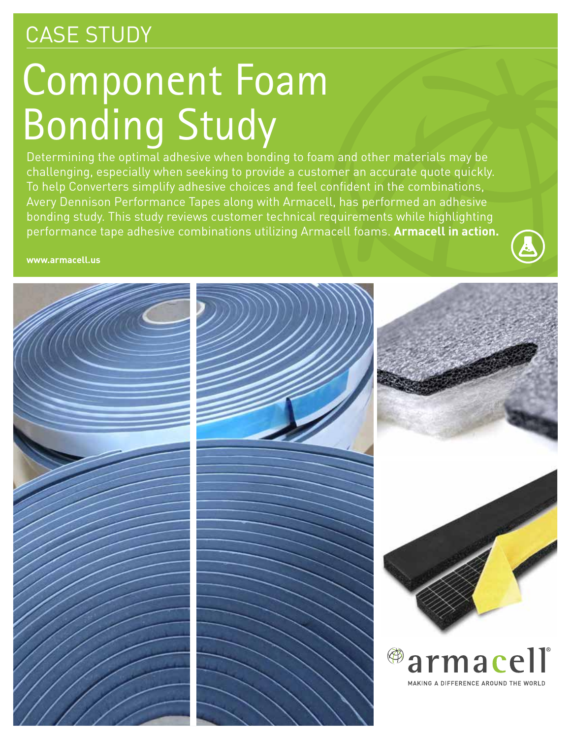## CASE STUDY

# Component Foam Bonding Study

Determining the optimal adhesive when bonding to foam and other materials may be challenging, especially when seeking to provide a customer an accurate quote quickly. To help Converters simplify adhesive choices and feel confident in the combinations, Avery Dennison Performance Tapes along with Armacell, has performed an adhesive bonding study. This study reviews customer technical requirements while highlighting performance tape adhesive combinations utilizing Armacell foams. **Armacell in action.**

**www.armacell.us**

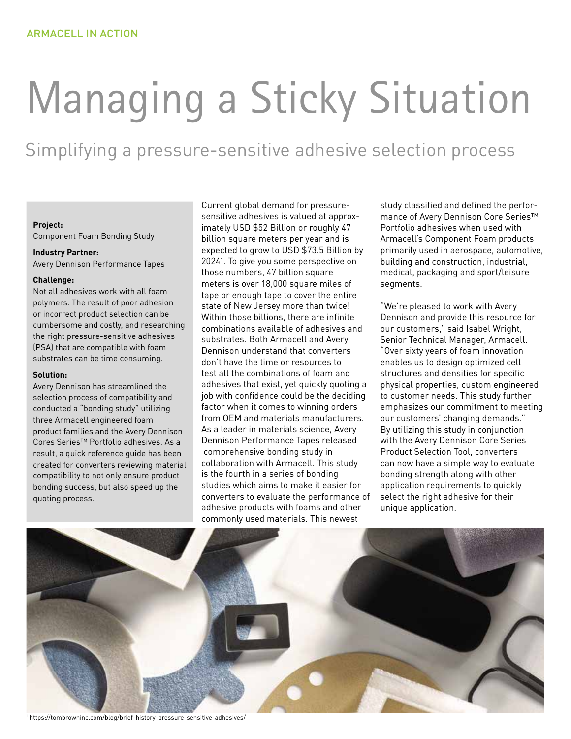# Managing a Sticky Situation

### Simplifying a pressure-sensitive adhesive selection process

#### **Project:**

Component Foam Bonding Study

#### **Industry Partner:**

Avery Dennison Performance Tapes

#### **Challenge:**

Not all adhesives work with all foam polymers. The result of poor adhesion or incorrect product selection can be cumbersome and costly, and researching the right pressure-sensitive adhesives (PSA) that are compatible with foam substrates can be time consuming.

#### **Solution:**

Avery Dennison has streamlined the selection process of compatibility and conducted a "bonding study" utilizing three Armacell engineered foam product families and the Avery Dennison Cores Series™ Portfolio adhesives. As a result, a quick reference guide has been created for converters reviewing material compatibility to not only ensure product bonding success, but also speed up the quoting process.

Current global demand for pressuresensitive adhesives is valued at approximately USD \$52 Billion or roughly 47 billion square meters per year and is expected to grow to USD \$73.5 Billion by 2024<sup>1</sup>. To give you some perspective on those numbers, 47 billion square meters is over 18,000 square miles of tape or enough tape to cover the entire state of New Jersey more than twice! Within those billions, there are infinite combinations available of adhesives and substrates. Both Armacell and Avery Dennison understand that converters don't have the time or resources to test all the combinations of foam and adhesives that exist, yet quickly quoting a job with confidence could be the deciding factor when it comes to winning orders from OEM and materials manufacturers. As a leader in materials science, Avery Dennison Performance Tapes released comprehensive bonding study in collaboration with Armacell. This study is the fourth in a series of bonding studies which aims to make it easier for converters to evaluate the performance of adhesive products with foams and other commonly used materials. This newest

study classified and defined the performance of Avery Dennison Core Series™ Portfolio adhesives when used with Armacell's Component Foam products primarily used in aerospace, automotive, building and construction, industrial, medical, packaging and sport/leisure segments.

"We're pleased to work with Avery Dennison and provide this resource for our customers," said Isabel Wright, Senior Technical Manager, Armacell. "Over sixty years of foam innovation enables us to design optimized cell structures and densities for specific physical properties, custom engineered to customer needs. This study further emphasizes our commitment to meeting our customers' changing demands." By utilizing this study in conjunction with the Avery Dennison Core Series Product Selection Tool, converters can now have a simple way to evaluate bonding strength along with other application requirements to quickly select the right adhesive for their unique application.



1 https://tombrowninc.com/blog/brief-history-pressure-sensitive-adhesives/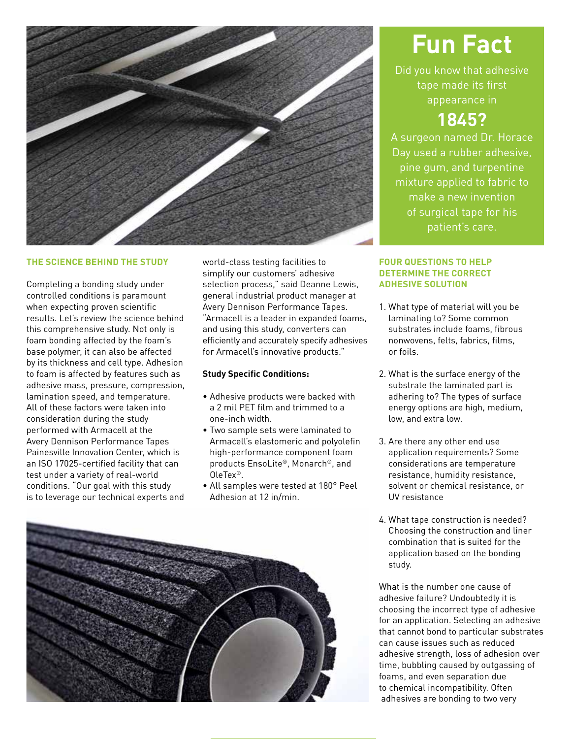

#### **THE SCIENCE BEHIND THE STUDY**

Completing a bonding study under controlled conditions is paramount when expecting proven scientific results. Let's review the science behind this comprehensive study. Not only is foam bonding affected by the foam's base polymer, it can also be affected by its thickness and cell type. Adhesion to foam is affected by features such as adhesive mass, pressure, compression, lamination speed, and temperature. All of these factors were taken into consideration during the study performed with Armacell at the Avery Dennison Performance Tapes Painesville Innovation Center, which is an ISO 17025-certified facility that can test under a variety of real-world conditions. "Our goal with this study is to leverage our technical experts and

world-class testing facilities to simplify our customers' adhesive selection process," said Deanne Lewis, general industrial product manager at Avery Dennison Performance Tapes. "Armacell is a leader in expanded foams, and using this study, converters can efficiently and accurately specify adhesives for Armacell's innovative products."

#### **Study Specific Conditions:**

- Adhesive products were backed with a 2 mil PET film and trimmed to a one-inch width.
- Two sample sets were laminated to Armacell's elastomeric and polyolefin high-performance component foam products EnsoLite®, Monarch®, and OleTex®.
- All samples were tested at 180° Peel Adhesion at 12 in/min.



## **Fun Fact**

Did you know that adhesive tape made its first appearance in

### **1845?**

A surgeon named Dr. Horace Day used a rubber adhesive, pine gum, and turpentine mixture applied to fabric to make a new invention of surgical tape for his patient's care.

#### **FOUR QUESTIONS TO HELP DETERMINE THE CORRECT ADHESIVE SOLUTION**

- 1. What type of material will you be laminating to? Some common substrates include foams, fibrous nonwovens, felts, fabrics, films, or foils.
- 2. What is the surface energy of the substrate the laminated part is adhering to? The types of surface energy options are high, medium, low, and extra low.
- 3. Are there any other end use application requirements? Some considerations are temperature resistance, humidity resistance, solvent or chemical resistance, or UV resistance
- 4. What tape construction is needed? Choosing the construction and liner combination that is suited for the application based on the bonding study.

What is the number one cause of adhesive failure? Undoubtedly it is choosing the incorrect type of adhesive for an application. Selecting an adhesive that cannot bond to particular substrates can cause issues such as reduced adhesive strength, loss of adhesion over time, bubbling caused by outgassing of foams, and even separation due to chemical incompatibility. Often adhesives are bonding to two very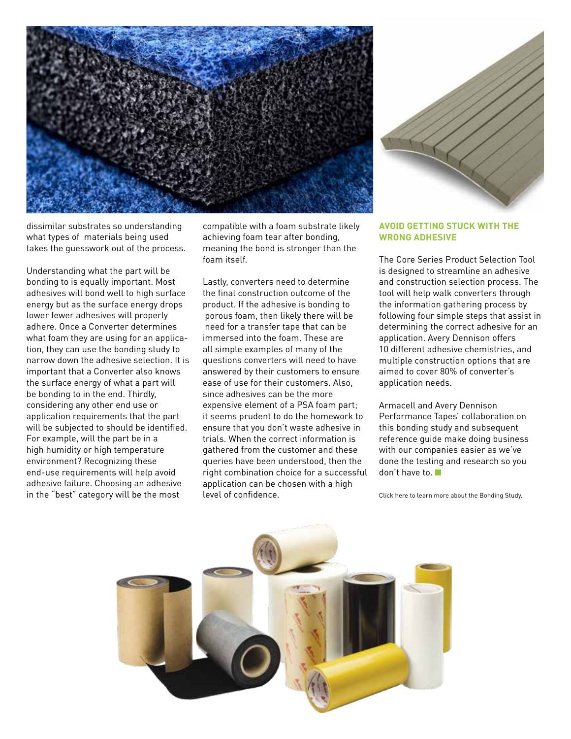

dissimilar substrates so understanding what types of materials being used takes the guesswork out of the process.

Understanding what the part will be bonding to is equally important. Most adhesives will bond well to high surface energy but as the surface energy drops lower fewer adhesives will properly adhere. Once a Converter determines what foam they are using for an application, they can use the bonding study to narrow down the adhesive selection. It is important that a Converter also knows the surface energy of what a part will be bonding to in the end. Thirdly, considering any other end use or application requirements that the part will be subjected to should be identified. For example, will the part be in a high humidity or high temperature environment? Recognizing these end-use requirements will help avoid adhesive failure. Choosing an adhesive in the "best" category will be the most

compatible with a foam substrate likely achieving foam tear after bonding, meaning the bond is stronger than the foam itself.

Lastly, converters need to determine the final construction outcome of the product. If the adhesive is bonding to porous foam, then likely there will be need for a transfer tape that can be immersed into the foam. These are all simple examples of many of the questions converters will need to have answered by their customers to ensure ease of use for their customers. Also, since adhesives can be the more expensive element of a PSA foam part; it seems prudent to do the homework to ensure that you don't waste adhesive in trials. When the correct information is gathered from the customer and these queries have been understood, then the right combination choice for a successful application can be chosen with a high level of confidence.

#### **AVOID GETTING STUCK WITH THE WRONG ADHESIVE**

The Core Series Product Selection Tool is designed to streamline an adhesive and construction selection process. The tool will help walk converters through the information gathering process by following four simple steps that assist in determining the correct adhesive for an application. Avery Dennison offers 10 different adhesive chemistries, and multiple construction options that are aimed to cover 80% of converter's application needs.

Armacell and Avery Dennison Performance Tapes' collaboration on this bonding study and subsequent reference guide make doing business with our companies easier as we've done the testing and research so you don't have to.

[Click here to learn more about the Bonding Study.](https://www.armacell.us/fileadmin/user_upload/Certificates/Study_ADPT21_ARMACELL_4pages_2021Mar25_FINAL.pdf)

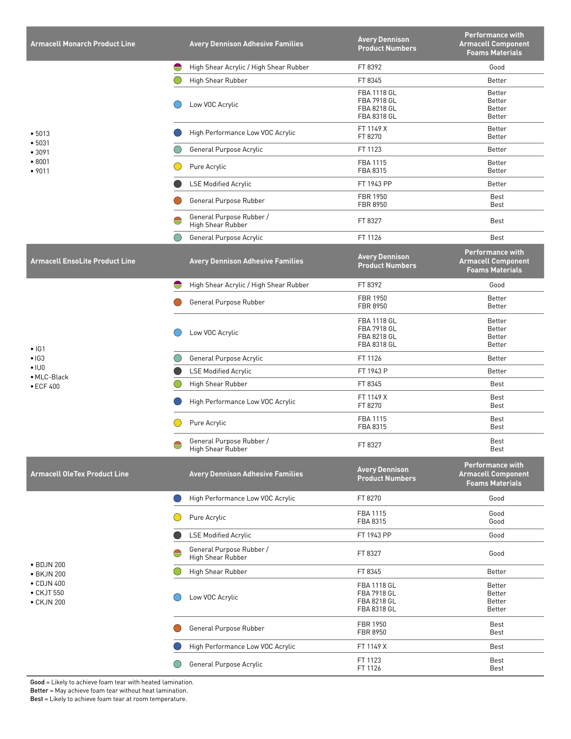| <b>Armacell Monarch Product Line</b>                                       | <b>Avery Dennison Adhesive Families</b>            | <b>Avery Dennison</b><br><b>Product Numbers</b>                 | <b>Performance with</b><br><b>Armacell Component</b><br><b>Foams Materials</b> |
|----------------------------------------------------------------------------|----------------------------------------------------|-----------------------------------------------------------------|--------------------------------------------------------------------------------|
| • 5013<br>•5031<br>• 3091<br>• 8001<br>•9011                               | High Shear Acrylic / High Shear Rubber<br>₩        | FT 8392                                                         | Good                                                                           |
|                                                                            | High Shear Rubber                                  | FT 8345                                                         | Better                                                                         |
|                                                                            | Low VOC Acrylic                                    | <b>FBA 1118 GL</b><br>FBA 7918 GL<br>FBA 8218 GL<br>FBA 8318 GL | Better<br>Better<br>Better<br>Better                                           |
|                                                                            | High Performance Low VOC Acrylic                   | FT 1149 X<br>FT 8270                                            | Better<br>Better                                                               |
|                                                                            | General Purpose Acrylic                            | FT 1123                                                         | Better                                                                         |
|                                                                            | Pure Acrylic                                       | FBA 1115<br>FBA 8315                                            | Better<br>Better                                                               |
|                                                                            | <b>LSE Modified Acrylic</b>                        | FT 1943 PP                                                      | Better                                                                         |
|                                                                            | General Purpose Rubber                             | FBR 1950<br>FBR 8950                                            | Best<br>Best                                                                   |
|                                                                            | General Purpose Rubber /<br>₩<br>High Shear Rubber | FT 8327                                                         | <b>Best</b>                                                                    |
|                                                                            | General Purpose Acrylic                            | FT 1126                                                         | Best                                                                           |
| <b>Armacell EnsoLite Product Line</b>                                      | <b>Avery Dennison Adhesive Families</b>            | <b>Avery Dennison</b><br><b>Product Numbers</b>                 | <b>Performance with</b><br><b>Armacell Component</b><br><b>Foams Materials</b> |
| $\cdot$ IG1<br>$\bullet$ IG3<br>$\cdot$ IU0<br>• MLC-Black<br>• ECF 400    | High Shear Acrylic / High Shear Rubber<br>⊖        | FT 8392                                                         | Good                                                                           |
|                                                                            | General Purpose Rubber                             | FBR 1950<br>FBR 8950                                            | Better<br>Better                                                               |
|                                                                            | Low VOC Acrylic                                    | FBA 1118 GL<br>FBA 7918 GL<br>FBA 8218 GL<br>FBA 8318 GL        | Better<br>Better<br>Better<br>Better                                           |
|                                                                            | General Purpose Acrylic                            | FT 1126                                                         | Better                                                                         |
|                                                                            | <b>LSE Modified Acrylic</b>                        | FT 1943 P                                                       | Better                                                                         |
|                                                                            | High Shear Rubber                                  | FT 8345                                                         | Best                                                                           |
|                                                                            | High Performance Low VOC Acrylic                   | FT 1149 X<br>FT 8270                                            | Best<br>Best                                                                   |
|                                                                            | Pure Acrylic                                       | FBA 1115<br>FBA 8315                                            | Best<br>Best                                                                   |
|                                                                            | General Purpose Rubber /<br>⊖<br>High Shear Rubber | FT 8327                                                         | Best<br>Best                                                                   |
| <b>Armacell OleTex Product Line</b>                                        | <b>Avery Dennison Adhesive Families</b>            | <b>Avery Dennison</b><br><b>Product Numbers</b>                 | <b>Performance with</b><br><b>Armacell Component</b><br><b>Foams Materials</b> |
| • BDJN 200<br>• BKJN 200<br>• CDJN 400<br>$\bullet$ CKJT 550<br>• CKJN 200 | High Performance Low VOC Acrylic                   | FT 8270                                                         | Good                                                                           |
|                                                                            | Pure Acrylic                                       | FBA 1115<br>FBA 8315                                            | Good<br>Good                                                                   |
|                                                                            | <b>LSE Modified Acrylic</b>                        | FT 1943 PP                                                      | Good                                                                           |
|                                                                            | General Purpose Rubber /<br>High Shear Rubber      | FT 8327                                                         | Good                                                                           |
|                                                                            | High Shear Rubber                                  | FT 8345                                                         | <b>Better</b>                                                                  |
|                                                                            | Low VOC Acrylic                                    | FBA 1118 GL<br>FBA 7918 GL<br>FBA 8218 GL<br>FBA 8318 GL        | <b>Better</b><br><b>Better</b><br><b>Better</b><br><b>Better</b>               |
|                                                                            | General Purpose Rubber                             | FBR 1950<br>FBR 8950                                            | Best<br>Best                                                                   |
|                                                                            | High Performance Low VOC Acrylic                   | FT 1149 X                                                       | Best                                                                           |
|                                                                            | General Purpose Acrylic                            | FT 1123<br>FT 1126                                              | Best<br>Best                                                                   |

Good = Likely to achieve foam tear with heated lamination.

Better = May achieve foam tear without heat lamination.

Best = Likely to achieve foam tear at room temperature.